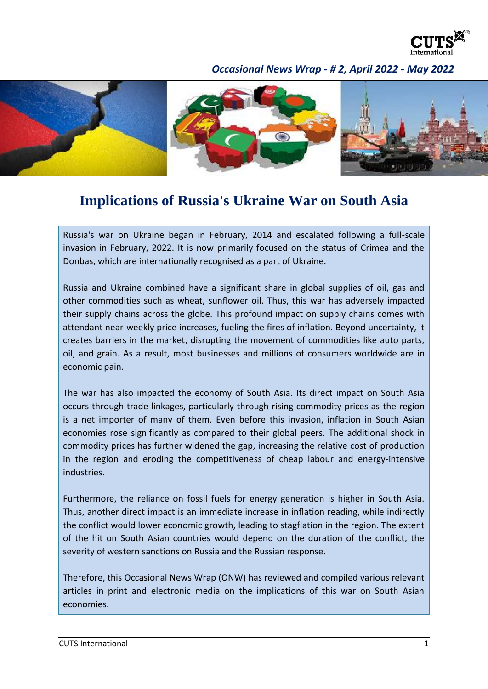

## *Occasional News Wrap - # 2, April 2022 - May 2022*



## **Implications of Russia's Ukraine War on South Asia**

Russia's war on Ukraine began in February, 2014 and escalated following a full-scale invasion in February, 2022. It is now primarily focused on the status of Crimea and the Donbas, which are internationally recognised as a part of Ukraine.

Russia and Ukraine combined have a significant share in global supplies of oil, gas and other commodities such as wheat, sunflower oil. Thus, this war has adversely impacted their supply chains across the globe. This profound impact on supply chains comes with attendant near-weekly price increases, fueling the fires of inflation. Beyond uncertainty, it creates barriers in the market, disrupting the movement of commodities like auto parts, oil, and grain. As a result, most businesses and millions of consumers worldwide are in economic pain.

The war has also impacted the economy of South Asia. Its direct impact on South Asia occurs through trade linkages, particularly through rising commodity prices as the region is a net importer of many of them. Even before this invasion, inflation in South Asian economies rose significantly as compared to their global peers. The additional shock in commodity prices has further widened the gap, increasing the relative cost of production in the region and eroding the competitiveness of cheap labour and energy-intensive industries.

Furthermore, the reliance on fossil fuels for energy generation is higher in South Asia. Thus, another direct impact is an immediate increase in inflation reading, while indirectly the conflict would lower economic growth, leading to stagflation in the region. The extent of the hit on South Asian countries would depend on the duration of the conflict, the severity of western sanctions on Russia and the Russian response.

Therefore, this Occasional News Wrap (ONW) has reviewed and compiled various relevant articles in print and electronic media on the implications of this war on South Asian economies.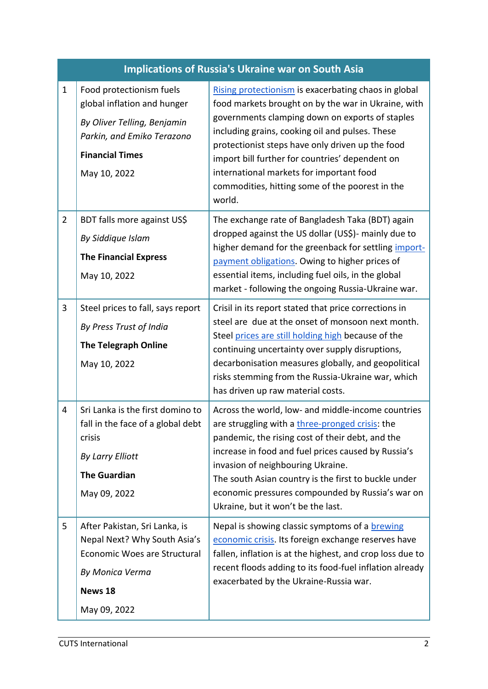| <b>Implications of Russia's Ukraine war on South Asia</b> |                                                                                                                                                                |                                                                                                                                                                                                                                                                                                                                                                                                                                   |
|-----------------------------------------------------------|----------------------------------------------------------------------------------------------------------------------------------------------------------------|-----------------------------------------------------------------------------------------------------------------------------------------------------------------------------------------------------------------------------------------------------------------------------------------------------------------------------------------------------------------------------------------------------------------------------------|
| $\mathbf 1$                                               | Food protectionism fuels<br>global inflation and hunger<br>By Oliver Telling, Benjamin<br>Parkin, and Emiko Terazono<br><b>Financial Times</b><br>May 10, 2022 | Rising protectionism is exacerbating chaos in global<br>food markets brought on by the war in Ukraine, with<br>governments clamping down on exports of staples<br>including grains, cooking oil and pulses. These<br>protectionist steps have only driven up the food<br>import bill further for countries' dependent on<br>international markets for important food<br>commodities, hitting some of the poorest in the<br>world. |
| $\overline{2}$                                            | BDT falls more against US\$<br>By Siddique Islam<br><b>The Financial Express</b><br>May 10, 2022                                                               | The exchange rate of Bangladesh Taka (BDT) again<br>dropped against the US dollar (US\$)- mainly due to<br>higher demand for the greenback for settling import-<br>payment obligations. Owing to higher prices of<br>essential items, including fuel oils, in the global<br>market - following the ongoing Russia-Ukraine war.                                                                                                    |
| 3                                                         | Steel prices to fall, says report<br>By Press Trust of India<br><b>The Telegraph Online</b><br>May 10, 2022                                                    | Crisil in its report stated that price corrections in<br>steel are due at the onset of monsoon next month.<br>Steel prices are still holding high because of the<br>continuing uncertainty over supply disruptions,<br>decarbonisation measures globally, and geopolitical<br>risks stemming from the Russia-Ukraine war, which<br>has driven up raw material costs.                                                              |
| 4                                                         | Sri Lanka is the first domino to<br>fall in the face of a global debt<br>crisis<br>By Larry Elliott<br><b>The Guardian</b><br>May 09, 2022                     | Across the world, low- and middle-income countries<br>are struggling with a three-pronged crisis: the<br>pandemic, the rising cost of their debt, and the<br>increase in food and fuel prices caused by Russia's<br>invasion of neighbouring Ukraine.<br>The south Asian country is the first to buckle under<br>economic pressures compounded by Russia's war on<br>Ukraine, but it won't be the last.                           |
| 5                                                         | After Pakistan, Sri Lanka, is<br>Nepal Next? Why South Asia's<br>Economic Woes are Structural<br>By Monica Verma<br>News 18<br>May 09, 2022                    | Nepal is showing classic symptoms of a brewing<br>economic crisis. Its foreign exchange reserves have<br>fallen, inflation is at the highest, and crop loss due to<br>recent floods adding to its food-fuel inflation already<br>exacerbated by the Ukraine-Russia war.                                                                                                                                                           |